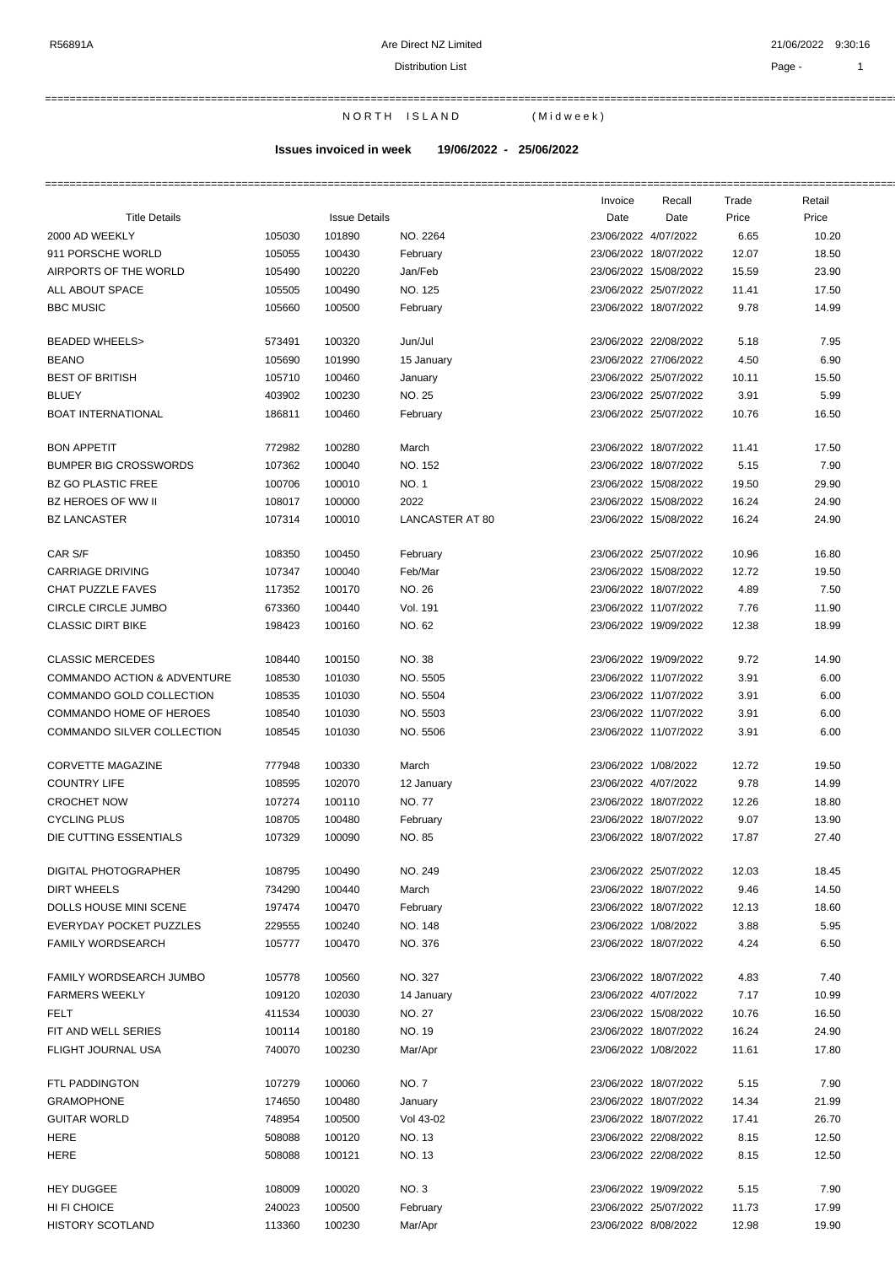===========================================================================================================================================================

N OR TH ISLAND (Midweek)

**Issues invoiced in week 19/06/2022 - 25/06/2022**

|                                        |        |                      |                        | Invoice | Recall                | Trade | Retail |
|----------------------------------------|--------|----------------------|------------------------|---------|-----------------------|-------|--------|
| <b>Title Details</b>                   |        | <b>Issue Details</b> |                        | Date    | Date                  | Price | Price  |
| 2000 AD WEEKLY                         | 105030 | 101890               | NO. 2264               |         | 23/06/2022 4/07/2022  | 6.65  | 10.20  |
| 911 PORSCHE WORLD                      | 105055 | 100430               | February               |         | 23/06/2022 18/07/2022 | 12.07 | 18.50  |
| AIRPORTS OF THE WORLD                  | 105490 | 100220               | Jan/Feb                |         | 23/06/2022 15/08/2022 | 15.59 | 23.90  |
| <b>ALL ABOUT SPACE</b>                 | 105505 | 100490               | NO. 125                |         | 23/06/2022 25/07/2022 | 11.41 | 17.50  |
| <b>BBC MUSIC</b>                       | 105660 | 100500               | February               |         | 23/06/2022 18/07/2022 | 9.78  | 14.99  |
| <b>BEADED WHEELS&gt;</b>               | 573491 | 100320               | Jun/Jul                |         | 23/06/2022 22/08/2022 | 5.18  | 7.95   |
| <b>BEANO</b>                           | 105690 | 101990               | 15 January             |         | 23/06/2022 27/06/2022 | 4.50  | 6.90   |
| <b>BEST OF BRITISH</b>                 | 105710 | 100460               | January                |         | 23/06/2022 25/07/2022 | 10.11 | 15.50  |
| <b>BLUEY</b>                           | 403902 | 100230               | NO. 25                 |         | 23/06/2022 25/07/2022 | 3.91  | 5.99   |
| <b>BOAT INTERNATIONAL</b>              | 186811 | 100460               | February               |         | 23/06/2022 25/07/2022 | 10.76 | 16.50  |
| <b>BON APPETIT</b>                     | 772982 | 100280               | March                  |         | 23/06/2022 18/07/2022 | 11.41 | 17.50  |
| <b>BUMPER BIG CROSSWORDS</b>           | 107362 | 100040               | NO. 152                |         | 23/06/2022 18/07/2022 | 5.15  | 7.90   |
| <b>BZ GO PLASTIC FREE</b>              | 100706 | 100010               | NO. 1                  |         | 23/06/2022 15/08/2022 | 19.50 | 29.90  |
| <b>BZ HEROES OF WW II</b>              | 108017 | 100000               | 2022                   |         | 23/06/2022 15/08/2022 | 16.24 | 24.90  |
| <b>BZ LANCASTER</b>                    | 107314 | 100010               | <b>LANCASTER AT 80</b> |         | 23/06/2022 15/08/2022 | 16.24 | 24.90  |
| CAR S/F                                | 108350 | 100450               | February               |         | 23/06/2022 25/07/2022 | 10.96 | 16.80  |
| <b>CARRIAGE DRIVING</b>                | 107347 | 100040               | Feb/Mar                |         | 23/06/2022 15/08/2022 | 12.72 | 19.50  |
| CHAT PUZZLE FAVES                      | 117352 | 100170               | NO. 26                 |         | 23/06/2022 18/07/2022 | 4.89  | 7.50   |
| CIRCLE CIRCLE JUMBO                    | 673360 | 100440               | Vol. 191               |         | 23/06/2022 11/07/2022 | 7.76  | 11.90  |
| <b>CLASSIC DIRT BIKE</b>               | 198423 | 100160               | NO. 62                 |         | 23/06/2022 19/09/2022 | 12.38 | 18.99  |
| <b>CLASSIC MERCEDES</b>                | 108440 | 100150               | NO. 38                 |         | 23/06/2022 19/09/2022 | 9.72  | 14.90  |
| <b>COMMANDO ACTION &amp; ADVENTURE</b> | 108530 | 101030               | NO. 5505               |         | 23/06/2022 11/07/2022 | 3.91  | 6.00   |
|                                        |        |                      |                        |         |                       | 3.91  |        |
| COMMANDO GOLD COLLECTION               | 108535 | 101030               | NO. 5504               |         | 23/06/2022 11/07/2022 |       | 6.00   |
| COMMANDO HOME OF HEROES                | 108540 | 101030               | NO. 5503               |         | 23/06/2022 11/07/2022 | 3.91  | 6.00   |
| COMMANDO SILVER COLLECTION             | 108545 | 101030               | NO. 5506               |         | 23/06/2022 11/07/2022 | 3.91  | 6.00   |
| <b>CORVETTE MAGAZINE</b>               | 777948 | 100330               | March                  |         | 23/06/2022 1/08/2022  | 12.72 | 19.50  |
| <b>COUNTRY LIFE</b>                    | 108595 | 102070               | 12 January             |         | 23/06/2022 4/07/2022  | 9.78  | 14.99  |
| <b>CROCHET NOW</b>                     | 107274 | 100110               | NO. 77                 |         | 23/06/2022 18/07/2022 | 12.26 | 18.80  |
| <b>CYCLING PLUS</b>                    | 108705 | 100480               | February               |         | 23/06/2022 18/07/2022 | 9.07  | 13.90  |
| DIE CUTTING ESSENTIALS                 | 107329 | 100090               | NO. 85                 |         | 23/06/2022 18/07/2022 | 17.87 | 27.40  |
| DIGITAL PHOTOGRAPHER                   | 108795 | 100490               | NO. 249                |         | 23/06/2022 25/07/2022 | 12.03 | 18.45  |
| <b>DIRT WHEELS</b>                     | 734290 | 100440               | March                  |         | 23/06/2022 18/07/2022 | 9.46  | 14.50  |
| DOLLS HOUSE MINI SCENE                 | 197474 | 100470               | February               |         | 23/06/2022 18/07/2022 | 12.13 | 18.60  |
| EVERYDAY POCKET PUZZLES                | 229555 | 100240               | <b>NO. 148</b>         |         | 23/06/2022 1/08/2022  | 3.88  | 5.95   |
| FAMILY WORDSEARCH                      | 105777 | 100470               | NO. 376                |         | 23/06/2022 18/07/2022 | 4.24  | 6.50   |
| FAMILY WORDSEARCH JUMBO                | 105778 | 100560               | NO. 327                |         | 23/06/2022 18/07/2022 | 4.83  | 7.40   |
| <b>FARMERS WEEKLY</b>                  | 109120 | 102030               | 14 January             |         | 23/06/2022 4/07/2022  | 7.17  | 10.99  |
| FELT                                   | 411534 | 100030               | <b>NO. 27</b>          |         | 23/06/2022 15/08/2022 | 10.76 | 16.50  |
| FIT AND WELL SERIES                    | 100114 | 100180               | NO. 19                 |         | 23/06/2022 18/07/2022 | 16.24 | 24.90  |
| FLIGHT JOURNAL USA                     | 740070 | 100230               | Mar/Apr                |         | 23/06/2022 1/08/2022  | 11.61 | 17.80  |
| FTL PADDINGTON                         | 107279 | 100060               | NO. 7                  |         | 23/06/2022 18/07/2022 | 5.15  | 7.90   |
| <b>GRAMOPHONE</b>                      | 174650 | 100480               | January                |         | 23/06/2022 18/07/2022 | 14.34 | 21.99  |
| <b>GUITAR WORLD</b>                    | 748954 | 100500               | Vol 43-02              |         | 23/06/2022 18/07/2022 | 17.41 | 26.70  |
| HERE                                   | 508088 | 100120               | NO. 13                 |         | 23/06/2022 22/08/2022 | 8.15  | 12.50  |
| HERE                                   | 508088 | 100121               | NO. 13                 |         | 23/06/2022 22/08/2022 | 8.15  | 12.50  |
| <b>HEY DUGGEE</b>                      | 108009 | 100020               | NO. 3                  |         | 23/06/2022 19/09/2022 | 5.15  | 7.90   |
| HI FI CHOICE                           | 240023 | 100500               |                        |         | 23/06/2022 25/07/2022 |       | 17.99  |
| HISTORY SCOTLAND                       |        | 100230               | February               |         |                       | 11.73 | 19.90  |
|                                        | 113360 |                      | Mar/Apr                |         | 23/06/2022 8/08/2022  | 12.98 |        |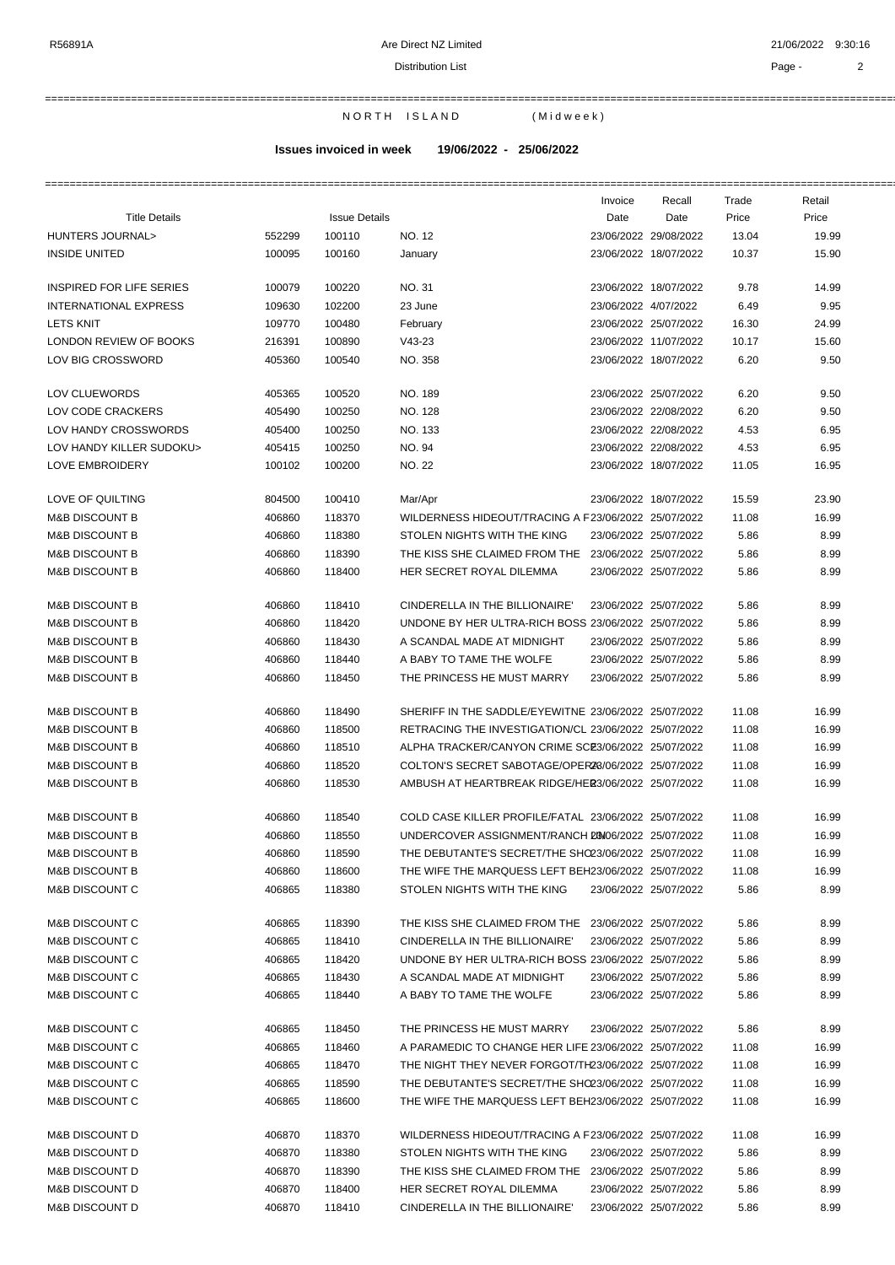===========================================================================================================================================================

N OR TH ISLAND (Midweek)

# **Issues invoiced in week 19/06/2022 - 25/06/2022**

===========================================================================================================================================================

|                              |        |                      |                                                      | Invoice              | Recall                | Trade | Retail |
|------------------------------|--------|----------------------|------------------------------------------------------|----------------------|-----------------------|-------|--------|
| <b>Title Details</b>         |        | <b>Issue Details</b> |                                                      | Date                 | Date                  | Price | Price  |
| HUNTERS JOURNAL>             | 552299 | 100110               | NO. 12                                               |                      | 23/06/2022 29/08/2022 | 13.04 | 19.99  |
| <b>INSIDE UNITED</b>         | 100095 | 100160               | January                                              |                      | 23/06/2022 18/07/2022 | 10.37 | 15.90  |
|                              |        |                      |                                                      |                      |                       |       |        |
| INSPIRED FOR LIFE SERIES     | 100079 | 100220               | NO. 31                                               |                      | 23/06/2022 18/07/2022 | 9.78  | 14.99  |
| <b>INTERNATIONAL EXPRESS</b> | 109630 | 102200               | 23 June                                              | 23/06/2022 4/07/2022 |                       | 6.49  | 9.95   |
| <b>LETS KNIT</b>             | 109770 | 100480               | February                                             |                      | 23/06/2022 25/07/2022 | 16.30 | 24.99  |
| LONDON REVIEW OF BOOKS       | 216391 | 100890               | $V43-23$                                             |                      | 23/06/2022 11/07/2022 | 10.17 | 15.60  |
| LOV BIG CROSSWORD            | 405360 | 100540               | NO. 358                                              |                      | 23/06/2022 18/07/2022 | 6.20  | 9.50   |
|                              |        |                      |                                                      |                      |                       |       |        |
| LOV CLUEWORDS                | 405365 | 100520               | NO. 189                                              |                      | 23/06/2022 25/07/2022 | 6.20  | 9.50   |
| LOV CODE CRACKERS            | 405490 | 100250               | NO. 128                                              |                      | 23/06/2022 22/08/2022 | 6.20  | 9.50   |
| LOV HANDY CROSSWORDS         | 405400 | 100250               | NO. 133                                              |                      | 23/06/2022 22/08/2022 | 4.53  | 6.95   |
| LOV HANDY KILLER SUDOKU>     | 405415 | 100250               | NO. 94                                               |                      | 23/06/2022 22/08/2022 | 4.53  | 6.95   |
| LOVE EMBROIDERY              | 100102 | 100200               | <b>NO. 22</b>                                        |                      | 23/06/2022 18/07/2022 |       | 16.95  |
|                              |        |                      |                                                      |                      |                       | 11.05 |        |
| LOVE OF QUILTING             | 804500 | 100410               | Mar/Apr                                              |                      | 23/06/2022 18/07/2022 | 15.59 | 23.90  |
| <b>M&amp;B DISCOUNT B</b>    | 406860 | 118370               | WILDERNESS HIDEOUT/TRACING A F23/06/2022 25/07/2022  |                      |                       | 11.08 | 16.99  |
| <b>M&amp;B DISCOUNT B</b>    | 406860 | 118380               | STOLEN NIGHTS WITH THE KING                          |                      | 23/06/2022 25/07/2022 | 5.86  | 8.99   |
| <b>M&amp;B DISCOUNT B</b>    | 406860 | 118390               | THE KISS SHE CLAIMED FROM THE 23/06/2022 25/07/2022  |                      |                       | 5.86  | 8.99   |
| <b>M&amp;B DISCOUNT B</b>    | 406860 | 118400               | HER SECRET ROYAL DILEMMA                             |                      | 23/06/2022 25/07/2022 | 5.86  | 8.99   |
|                              |        |                      |                                                      |                      |                       |       |        |
| <b>M&amp;B DISCOUNT B</b>    | 406860 | 118410               | CINDERELLA IN THE BILLIONAIRE'                       |                      | 23/06/2022 25/07/2022 | 5.86  | 8.99   |
| <b>M&amp;B DISCOUNT B</b>    | 406860 | 118420               | UNDONE BY HER ULTRA-RICH BOSS 23/06/2022 25/07/2022  |                      |                       | 5.86  | 8.99   |
| <b>M&amp;B DISCOUNT B</b>    | 406860 | 118430               | A SCANDAL MADE AT MIDNIGHT                           |                      | 23/06/2022 25/07/2022 | 5.86  | 8.99   |
| <b>M&amp;B DISCOUNT B</b>    | 406860 | 118440               | A BABY TO TAME THE WOLFE                             |                      | 23/06/2022 25/07/2022 | 5.86  | 8.99   |
|                              |        |                      |                                                      |                      |                       |       |        |
| <b>M&amp;B DISCOUNT B</b>    | 406860 | 118450               | THE PRINCESS HE MUST MARRY                           |                      | 23/06/2022 25/07/2022 | 5.86  | 8.99   |
| <b>M&amp;B DISCOUNT B</b>    | 406860 | 118490               | SHERIFF IN THE SADDLE/EYEWITNE 23/06/2022 25/07/2022 |                      |                       | 11.08 | 16.99  |
| <b>M&amp;B DISCOUNT B</b>    | 406860 | 118500               | RETRACING THE INVESTIGATION/CL 23/06/2022 25/07/2022 |                      |                       | 11.08 | 16.99  |
| <b>M&amp;B DISCOUNT B</b>    | 406860 | 118510               | ALPHA TRACKER/CANYON CRIME SCE3/06/2022 25/07/2022   |                      |                       | 11.08 | 16.99  |
| <b>M&amp;B DISCOUNT B</b>    | 406860 | 118520               | COLTON'S SECRET SABOTAGE/OPER28/06/2022 25/07/2022   |                      |                       | 11.08 | 16.99  |
| <b>M&amp;B DISCOUNT B</b>    | 406860 | 118530               | AMBUSH AT HEARTBREAK RIDGE/HER3/06/2022 25/07/2022   |                      |                       | 11.08 | 16.99  |
|                              |        |                      |                                                      |                      |                       |       |        |
| <b>M&amp;B DISCOUNT B</b>    | 406860 | 118540               | COLD CASE KILLER PROFILE/FATAL 23/06/2022 25/07/2022 |                      |                       | 11.08 | 16.99  |
| <b>M&amp;B DISCOUNT B</b>    | 406860 | 118550               | UNDERCOVER ASSIGNMENT/RANCH 2006/2022 25/07/2022     |                      |                       | 11.08 | 16.99  |
| <b>M&amp;B DISCOUNT B</b>    | 406860 | 118590               | THE DEBUTANTE'S SECRET/THE SHO23/06/2022 25/07/2022  |                      |                       | 11.08 | 16.99  |
| <b>M&amp;B DISCOUNT B</b>    | 406860 | 118600               | THE WIFE THE MARQUESS LEFT BEH23/06/2022 25/07/2022  |                      |                       | 11.08 | 16.99  |
| <b>M&amp;B DISCOUNT C</b>    | 406865 | 118380               | STOLEN NIGHTS WITH THE KING                          |                      | 23/06/2022 25/07/2022 | 5.86  | 8.99   |
|                              |        |                      |                                                      |                      |                       |       |        |
| M&B DISCOUNT C               | 406865 | 118390               | THE KISS SHE CLAIMED FROM THE 23/06/2022 25/07/2022  |                      |                       | 5.86  | 8.99   |
| <b>M&amp;B DISCOUNT C</b>    | 406865 | 118410               | CINDERELLA IN THE BILLIONAIRE'                       |                      | 23/06/2022 25/07/2022 | 5.86  | 8.99   |
| <b>M&amp;B DISCOUNT C</b>    | 406865 | 118420               | UNDONE BY HER ULTRA-RICH BOSS 23/06/2022 25/07/2022  |                      |                       | 5.86  | 8.99   |
| <b>M&amp;B DISCOUNT C</b>    | 406865 | 118430               | A SCANDAL MADE AT MIDNIGHT                           |                      | 23/06/2022 25/07/2022 | 5.86  | 8.99   |
| <b>M&amp;B DISCOUNT C</b>    | 406865 | 118440               | A BABY TO TAME THE WOLFE                             |                      | 23/06/2022 25/07/2022 | 5.86  | 8.99   |
|                              |        |                      |                                                      |                      |                       |       |        |
| <b>M&amp;B DISCOUNT C</b>    | 406865 | 118450               | THE PRINCESS HE MUST MARRY                           |                      | 23/06/2022 25/07/2022 | 5.86  | 8.99   |
| M&B DISCOUNT C               | 406865 | 118460               | A PARAMEDIC TO CHANGE HER LIFE 23/06/2022 25/07/2022 |                      |                       | 11.08 | 16.99  |
| M&B DISCOUNT C               | 406865 | 118470               | THE NIGHT THEY NEVER FORGOT/TH23/06/2022 25/07/2022  |                      |                       | 11.08 | 16.99  |
| M&B DISCOUNT C               | 406865 | 118590               | THE DEBUTANTE'S SECRET/THE SHO23/06/2022 25/07/2022  |                      |                       | 11.08 | 16.99  |
| M&B DISCOUNT C               | 406865 | 118600               | THE WIFE THE MARQUESS LEFT BEH23/06/2022 25/07/2022  |                      |                       | 11.08 | 16.99  |
| <b>M&amp;B DISCOUNT D</b>    | 406870 | 118370               | WILDERNESS HIDEOUT/TRACING A F23/06/2022 25/07/2022  |                      |                       | 11.08 | 16.99  |
|                              |        |                      |                                                      |                      |                       |       |        |
| M&B DISCOUNT D               | 406870 | 118380               | STOLEN NIGHTS WITH THE KING                          |                      | 23/06/2022 25/07/2022 | 5.86  | 8.99   |
| <b>M&amp;B DISCOUNT D</b>    | 406870 | 118390               | THE KISS SHE CLAIMED FROM THE 23/06/2022 25/07/2022  |                      |                       | 5.86  | 8.99   |
| <b>M&amp;B DISCOUNT D</b>    | 406870 | 118400               | HER SECRET ROYAL DILEMMA                             |                      | 23/06/2022 25/07/2022 | 5.86  | 8.99   |
| M&B DISCOUNT D               | 406870 | 118410               | CINDERELLA IN THE BILLIONAIRE'                       |                      | 23/06/2022 25/07/2022 | 5.86  | 8.99   |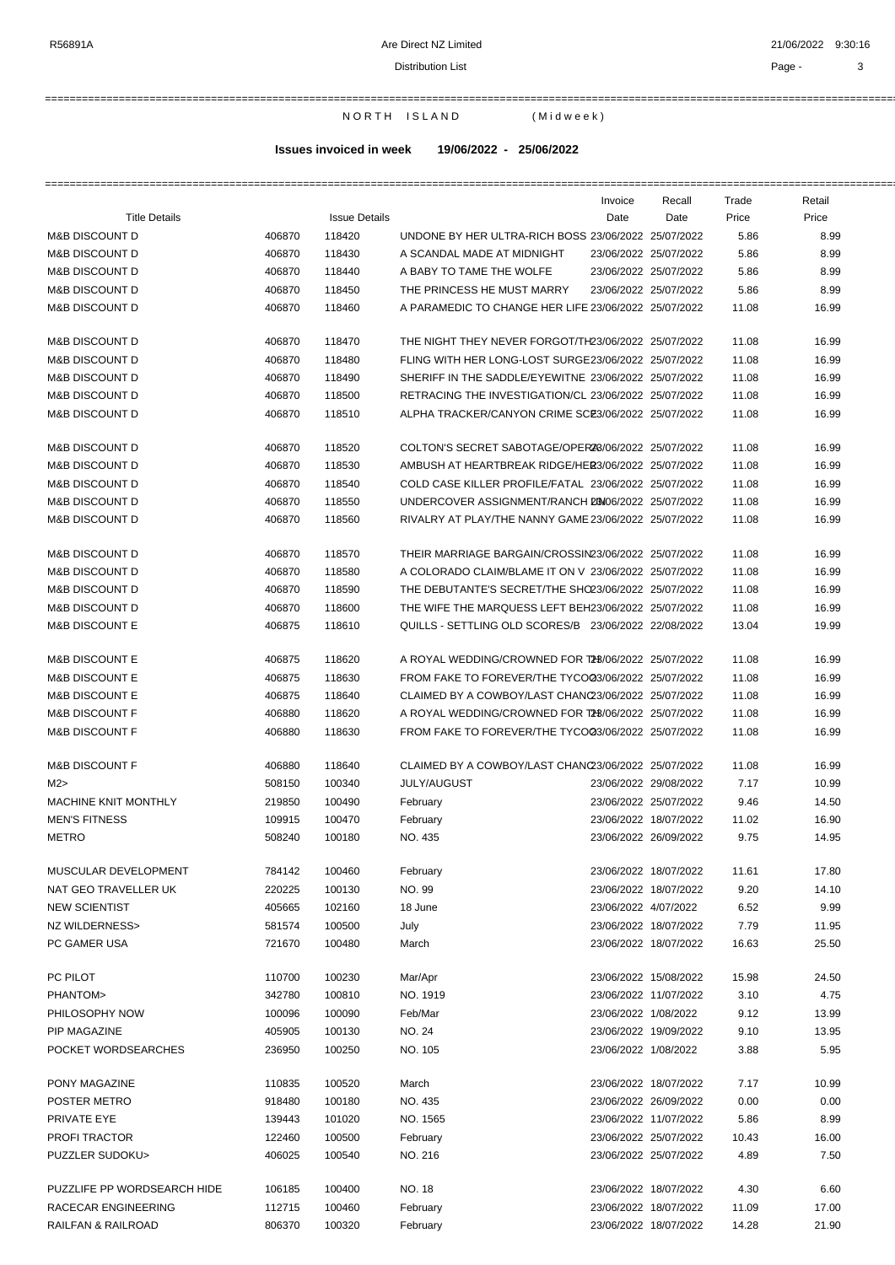## Distribution List **Page - 3**

===========================================================================================================================================================

N OR TH ISLAND (Midweek)

# **Issues invoiced in week 19/06/2022 - 25/06/2022**

|                      |        |                      |                                                     | Invoice | Recall                | Trade      | Retail |
|----------------------|--------|----------------------|-----------------------------------------------------|---------|-----------------------|------------|--------|
| <b>Title Details</b> |        | <b>Issue Details</b> |                                                     | Date    | Date                  | Price      | Price  |
| M&B DISCOUNT D       | 406870 | 118420               | UNDONE BY HER ULTRA-RICH BOSS 23/06/2022 25/07/2022 |         |                       | 5.86       | 8.99   |
| $\mathbf{M}$         | 100070 | $\overline{A}$       |                                                     |         | 00/00/0000 05/07/0000 | $F \Omega$ | 0.00   |

| <b>M&amp;B DISCOUNT D</b>   | 406870 | 118420 | UNDONE BY HER ULTRA-RICH BOSS 23/06/2022 25/07/2022  |                      |                       | 5.86  | 8.99  |
|-----------------------------|--------|--------|------------------------------------------------------|----------------------|-----------------------|-------|-------|
| <b>M&amp;B DISCOUNT D</b>   | 406870 | 118430 | A SCANDAL MADE AT MIDNIGHT                           |                      | 23/06/2022 25/07/2022 | 5.86  | 8.99  |
| <b>M&amp;B DISCOUNT D</b>   | 406870 | 118440 | A BABY TO TAME THE WOLFE                             |                      | 23/06/2022 25/07/2022 | 5.86  | 8.99  |
| <b>M&amp;B DISCOUNT D</b>   | 406870 | 118450 | THE PRINCESS HE MUST MARRY                           |                      | 23/06/2022 25/07/2022 | 5.86  | 8.99  |
| <b>M&amp;B DISCOUNT D</b>   | 406870 | 118460 | A PARAMEDIC TO CHANGE HER LIFE 23/06/2022 25/07/2022 |                      |                       | 11.08 | 16.99 |
| <b>M&amp;B DISCOUNT D</b>   | 406870 | 118470 | THE NIGHT THEY NEVER FORGOT/TH23/06/2022 25/07/2022  |                      |                       | 11.08 | 16.99 |
| <b>M&amp;B DISCOUNT D</b>   | 406870 | 118480 | FLING WITH HER LONG-LOST SURGE23/06/2022 25/07/2022  |                      |                       | 11.08 | 16.99 |
| <b>M&amp;B DISCOUNT D</b>   | 406870 | 118490 | SHERIFF IN THE SADDLE/EYEWITNE 23/06/2022 25/07/2022 |                      |                       | 11.08 | 16.99 |
| <b>M&amp;B DISCOUNT D</b>   | 406870 | 118500 | RETRACING THE INVESTIGATION/CL 23/06/2022 25/07/2022 |                      |                       | 11.08 | 16.99 |
| <b>M&amp;B DISCOUNT D</b>   | 406870 | 118510 | ALPHA TRACKER/CANYON CRIME SCE3/06/2022 25/07/2022   |                      |                       | 11.08 | 16.99 |
| <b>M&amp;B DISCOUNT D</b>   | 406870 | 118520 | COLTON'S SECRET SABOTAGE/OPER28/06/2022 25/07/2022   |                      |                       | 11.08 | 16.99 |
| <b>M&amp;B DISCOUNT D</b>   | 406870 | 118530 | AMBUSH AT HEARTBREAK RIDGE/HER3/06/2022 25/07/2022   |                      |                       | 11.08 | 16.99 |
| <b>M&amp;B DISCOUNT D</b>   | 406870 | 118540 | COLD CASE KILLER PROFILE/FATAL 23/06/2022 25/07/2022 |                      |                       | 11.08 | 16.99 |
| <b>M&amp;B DISCOUNT D</b>   | 406870 | 118550 | UNDERCOVER ASSIGNMENT/RANCH 20M06/2022 25/07/2022    |                      |                       | 11.08 | 16.99 |
| <b>M&amp;B DISCOUNT D</b>   | 406870 | 118560 | RIVALRY AT PLAY/THE NANNY GAME 23/06/2022 25/07/2022 |                      |                       | 11.08 | 16.99 |
| <b>M&amp;B DISCOUNT D</b>   | 406870 | 118570 | THEIR MARRIAGE BARGAIN/CROSSIN23/06/2022 25/07/2022  |                      |                       | 11.08 | 16.99 |
| <b>M&amp;B DISCOUNT D</b>   | 406870 | 118580 | A COLORADO CLAIM/BLAME IT ON V 23/06/2022 25/07/2022 |                      |                       | 11.08 | 16.99 |
| <b>M&amp;B DISCOUNT D</b>   | 406870 | 118590 | THE DEBUTANTE'S SECRET/THE SHO23/06/2022 25/07/2022  |                      |                       | 11.08 | 16.99 |
| <b>M&amp;B DISCOUNT D</b>   | 406870 | 118600 | THE WIFE THE MARQUESS LEFT BEH23/06/2022 25/07/2022  |                      |                       | 11.08 | 16.99 |
| <b>M&amp;B DISCOUNT E</b>   | 406875 | 118610 | QUILLS - SETTLING OLD SCORES/B 23/06/2022 22/08/2022 |                      |                       | 13.04 | 19.99 |
| <b>M&amp;B DISCOUNT E</b>   | 406875 | 118620 | A ROYAL WEDDING/CROWNED FOR T28/06/2022 25/07/2022   |                      |                       | 11.08 | 16.99 |
| <b>M&amp;B DISCOUNT E</b>   | 406875 | 118630 | FROM FAKE TO FOREVER/THE TYCO03/06/2022 25/07/2022   |                      |                       | 11.08 | 16.99 |
| <b>M&amp;B DISCOUNT E</b>   | 406875 | 118640 | CLAIMED BY A COWBOY/LAST CHANC23/06/2022 25/07/2022  |                      |                       | 11.08 | 16.99 |
| <b>M&amp;B DISCOUNT F</b>   | 406880 | 118620 | A ROYAL WEDDING/CROWNED FOR T28/06/2022 25/07/2022   |                      |                       | 11.08 | 16.99 |
| <b>M&amp;B DISCOUNT F</b>   | 406880 | 118630 | FROM FAKE TO FOREVER/THE TYCO03/06/2022 25/07/2022   |                      |                       | 11.08 | 16.99 |
| <b>M&amp;B DISCOUNT F</b>   | 406880 | 118640 | CLAIMED BY A COWBOY/LAST CHANC23/06/2022 25/07/2022  |                      |                       | 11.08 | 16.99 |
| M2                          | 508150 | 100340 | <b>JULY/AUGUST</b>                                   |                      | 23/06/2022 29/08/2022 | 7.17  | 10.99 |
| MACHINE KNIT MONTHLY        | 219850 | 100490 | February                                             |                      | 23/06/2022 25/07/2022 | 9.46  | 14.50 |
| <b>MEN'S FITNESS</b>        | 109915 | 100470 | February                                             |                      | 23/06/2022 18/07/2022 | 11.02 | 16.90 |
| <b>METRO</b>                | 508240 | 100180 | NO. 435                                              |                      | 23/06/2022 26/09/2022 | 9.75  | 14.95 |
| MUSCULAR DEVELOPMENT        | 784142 | 100460 | February                                             |                      | 23/06/2022 18/07/2022 | 11.61 | 17.80 |
| NAT GEO TRAVELLER UK        | 220225 | 100130 | NO. 99                                               |                      | 23/06/2022 18/07/2022 | 9.20  | 14.10 |
| NEW SCIENTIST               | 405665 | 102160 | 18 June                                              | 23/06/2022 4/07/2022 |                       | 6.52  | 9.99  |
| NZ WILDERNESS>              | 581574 | 100500 | July                                                 |                      | 23/06/2022 18/07/2022 | 7.79  | 11.95 |
| PC GAMER USA                | 721670 | 100480 | March                                                |                      | 23/06/2022 18/07/2022 | 16.63 | 25.50 |
| PC PILOT                    | 110700 | 100230 | Mar/Apr                                              |                      | 23/06/2022 15/08/2022 | 15.98 | 24.50 |
| PHANTOM>                    | 342780 | 100810 | NO. 1919                                             |                      | 23/06/2022 11/07/2022 | 3.10  | 4.75  |
| PHILOSOPHY NOW              | 100096 | 100090 | Feb/Mar                                              | 23/06/2022 1/08/2022 |                       | 9.12  | 13.99 |
| PIP MAGAZINE                | 405905 | 100130 | NO. 24                                               |                      | 23/06/2022 19/09/2022 | 9.10  | 13.95 |
| POCKET WORDSEARCHES         | 236950 | 100250 | NO. 105                                              | 23/06/2022 1/08/2022 |                       | 3.88  | 5.95  |
| PONY MAGAZINE               | 110835 | 100520 | March                                                |                      | 23/06/2022 18/07/2022 | 7.17  | 10.99 |
| POSTER METRO                | 918480 | 100180 | NO. 435                                              |                      | 23/06/2022 26/09/2022 | 0.00  | 0.00  |
| PRIVATE EYE                 | 139443 | 101020 | NO. 1565                                             |                      | 23/06/2022 11/07/2022 | 5.86  | 8.99  |
| PROFI TRACTOR               | 122460 | 100500 | February                                             |                      | 23/06/2022 25/07/2022 | 10.43 | 16.00 |
| PUZZLER SUDOKU>             | 406025 | 100540 | NO. 216                                              |                      | 23/06/2022 25/07/2022 | 4.89  | 7.50  |
| PUZZLIFE PP WORDSEARCH HIDE | 106185 | 100400 | NO. 18                                               |                      | 23/06/2022 18/07/2022 | 4.30  | 6.60  |
| RACECAR ENGINEERING         | 112715 | 100460 | February                                             |                      | 23/06/2022 18/07/2022 | 11.09 | 17.00 |
| RAILFAN & RAILROAD          | 806370 | 100320 | February                                             |                      | 23/06/2022 18/07/2022 | 14.28 | 21.90 |